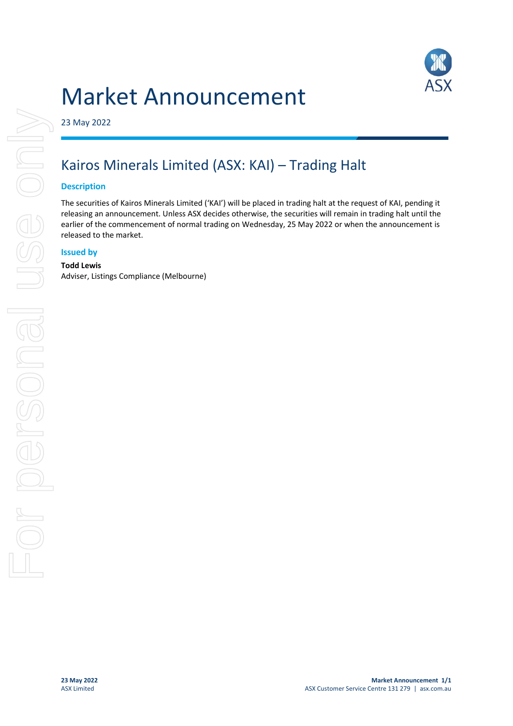# Market Announcement



23 May 2022

# Kairos Minerals Limited (ASX: KAI) – Trading Halt

## **Description**

The securities of Kairos Minerals Limited ('KAI') will be placed in trading halt at the request of KAI, pending it releasing an announcement. Unless ASX decides otherwise, the securities will remain in trading halt until the earlier of the commencement of normal trading on Wednesday, 25 May 2022 or when the announcement is released to the market.

### **Issued by**

#### **Todd Lewis**

Adviser, Listings Compliance (Melbourne)